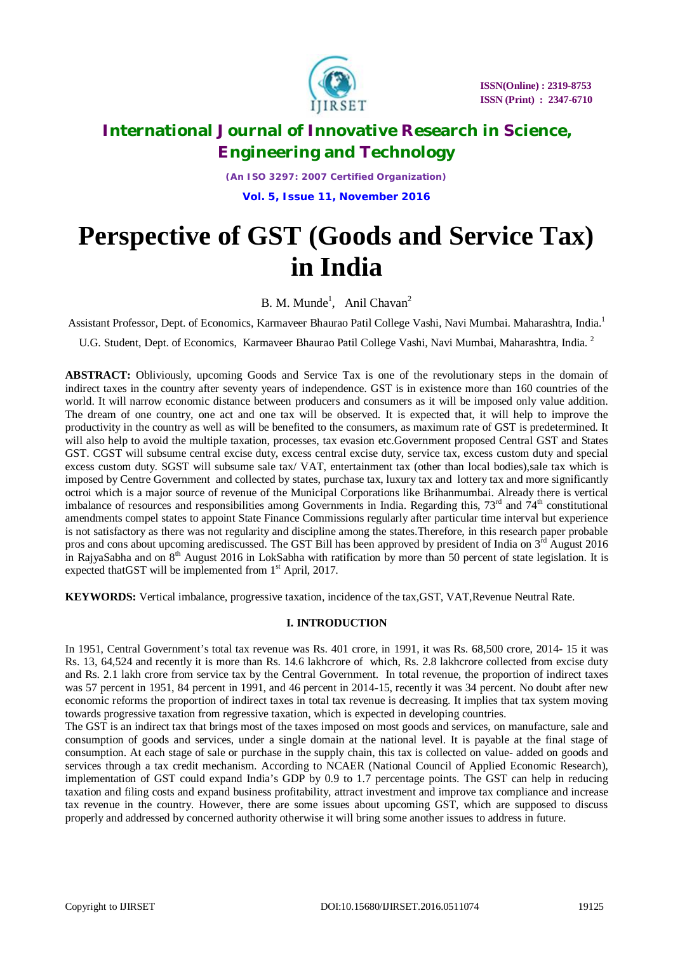

## **International Journal of Innovative Research in Science, Engineering and Technology**

*(An ISO 3297: 2007 Certified Organization)* **Vol. 5, Issue 11, November 2016**

# **Perspective of GST (Goods and Service Tax) in India**

B. M. Munde<sup>1</sup>, Anil Chavan<sup>2</sup>

Assistant Professor, Dept. of Economics, Karmaveer Bhaurao Patil College Vashi, Navi Mumbai. Maharashtra, India.<sup>1</sup>

U.G. Student, Dept. of Economics, Karmaveer Bhaurao Patil College Vashi, Navi Mumbai, Maharashtra, India. <sup>2</sup>

**ABSTRACT:** Obliviously, upcoming Goods and Service Tax is one of the revolutionary steps in the domain of indirect taxes in the country after seventy years of independence. GST is in existence more than 160 countries of the world. It will narrow economic distance between producers and consumers as it will be imposed only value addition. The dream of one country, one act and one tax will be observed. It is expected that, it will help to improve the productivity in the country as well as will be benefited to the consumers, as maximum rate of GST is predetermined. It will also help to avoid the multiple taxation, processes, tax evasion etc.Government proposed Central GST and States GST. CGST will subsume central excise duty, excess central excise duty, service tax, excess custom duty and special excess custom duty. SGST will subsume sale tax/ VAT, entertainment tax (other than local bodies),sale tax which is imposed by Centre Government and collected by states, purchase tax, luxury tax and lottery tax and more significantly octroi which is a major source of revenue of the Municipal Corporations like Brihanmumbai. Already there is vertical imbalance of resources and responsibilities among Governments in India. Regarding this,  $73<sup>rd</sup>$  and  $74<sup>th</sup>$  constitutional amendments compel states to appoint State Finance Commissions regularly after particular time interval but experience is not satisfactory as there was not regularity and discipline among the states.Therefore, in this research paper probable pros and cons about upcoming arediscussed. The GST Bill has been approved by president of India on  $3<sup>rd</sup>$  August 2016 in RajyaSabha and on  $8<sup>th</sup>$  August 2016 in LokSabha with ratification by more than 50 percent of state legislation. It is expected that GST will be implemented from  $1<sup>st</sup>$  April, 2017.

**KEYWORDS:** Vertical imbalance, progressive taxation, incidence of the tax,GST, VAT,Revenue Neutral Rate.

### **I. INTRODUCTION**

In 1951, Central Government's total tax revenue was Rs. 401 crore, in 1991, it was Rs. 68,500 crore, 2014- 15 it was Rs. 13, 64,524 and recently it is more than Rs. 14.6 lakhcrore of which, Rs. 2.8 lakhcrore collected from excise duty and Rs. 2.1 lakh crore from service tax by the Central Government. In total revenue, the proportion of indirect taxes was 57 percent in 1951, 84 percent in 1991, and 46 percent in 2014-15, recently it was 34 percent. No doubt after new economic reforms the proportion of indirect taxes in total tax revenue is decreasing. It implies that tax system moving towards progressive taxation from regressive taxation, which is expected in developing countries.

The GST is an indirect tax that brings most of the taxes imposed on most goods and services, on manufacture, sale and consumption of goods and services, under a single domain at the national level. It is payable at the final stage of consumption. At each stage of sale or purchase in the supply chain, this tax is collected on value- added on goods and services through a tax credit mechanism. According to NCAER (National Council of Applied Economic Research), implementation of GST could expand India's GDP by 0.9 to 1.7 percentage points. The GST can help in reducing taxation and filing costs and expand business profitability, attract investment and improve tax compliance and increase tax revenue in the country. However, there are some issues about upcoming GST, which are supposed to discuss properly and addressed by concerned authority otherwise it will bring some another issues to address in future.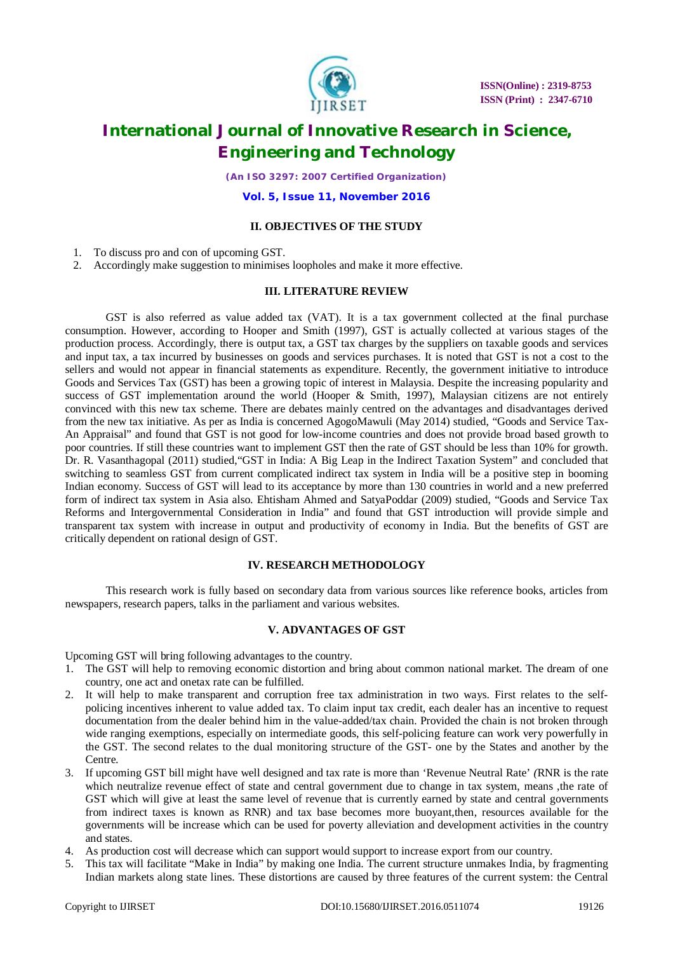

 **ISSN(Online) : 2319-8753 ISSN (Print) : 2347-6710**

## **International Journal of Innovative Research in Science, Engineering and Technology**

*(An ISO 3297: 2007 Certified Organization)*

**Vol. 5, Issue 11, November 2016**

### **II. OBJECTIVES OF THE STUDY**

- 1. To discuss pro and con of upcoming GST.
- 2. Accordingly make suggestion to minimises loopholes and make it more effective.

### **III. LITERATURE REVIEW**

GST is also referred as value added tax (VAT). It is a tax government collected at the final purchase consumption. However, according to Hooper and Smith (1997), GST is actually collected at various stages of the production process. Accordingly, there is output tax, a GST tax charges by the suppliers on taxable goods and services and input tax, a tax incurred by businesses on goods and services purchases. It is noted that GST is not a cost to the sellers and would not appear in financial statements as expenditure. Recently, the government initiative to introduce Goods and Services Tax (GST) has been a growing topic of interest in Malaysia. Despite the increasing popularity and success of GST implementation around the world (Hooper & Smith, 1997), Malaysian citizens are not entirely convinced with this new tax scheme. There are debates mainly centred on the advantages and disadvantages derived from the new tax initiative. As per as India is concerned AgogoMawuli (May 2014) studied, "Goods and Service Tax-An Appraisal" and found that GST is not good for low-income countries and does not provide broad based growth to poor countries. If still these countries want to implement GST then the rate of GST should be less than 10% for growth. Dr. R. Vasanthagopal (2011) studied,"GST in India: A Big Leap in the Indirect Taxation System" and concluded that switching to seamless GST from current complicated indirect tax system in India will be a positive step in booming Indian economy. Success of GST will lead to its acceptance by more than 130 countries in world and a new preferred form of indirect tax system in Asia also. Ehtisham Ahmed and SatyaPoddar (2009) studied, "Goods and Service Tax Reforms and Intergovernmental Consideration in India" and found that GST introduction will provide simple and transparent tax system with increase in output and productivity of economy in India. But the benefits of GST are critically dependent on rational design of GST.

### **IV. RESEARCH METHODOLOGY**

This research work is fully based on secondary data from various sources like reference books, articles from newspapers, research papers, talks in the parliament and various websites.

#### **V. ADVANTAGES OF GST**

Upcoming GST will bring following advantages to the country.

- 1. The GST will help to removing economic distortion and bring about common national market. The dream of one country, one act and onetax rate can be fulfilled.
- 2. It will help to make transparent and corruption free tax administration in two ways. First relates to the selfpolicing incentives inherent to value added tax. To claim input tax credit, each dealer has an incentive to request documentation from the dealer behind him in the value-added/tax chain. Provided the chain is not broken through wide ranging exemptions, especially on intermediate goods, this self-policing feature can work very powerfully in the GST. The second relates to the dual monitoring structure of the GST- one by the States and another by the Centre.
- 3. If upcoming GST bill might have well designed and tax rate is more than 'Revenue Neutral Rate' *(*RNR is the rate which neutralize revenue effect of state and central government due to change in tax system, means ,the rate of GST which will give at least the same level of revenue that is currently earned by state and central governments from indirect taxes is known as RNR) and tax base becomes more buoyant,then, resources available for the governments will be increase which can be used for poverty alleviation and development activities in the country and states.
- 4. As production cost will decrease which can support would support to increase export from our country.
- 5. This tax will facilitate "Make in India" by making one India. The current structure unmakes India, by fragmenting Indian markets along state lines. These distortions are caused by three features of the current system: the Central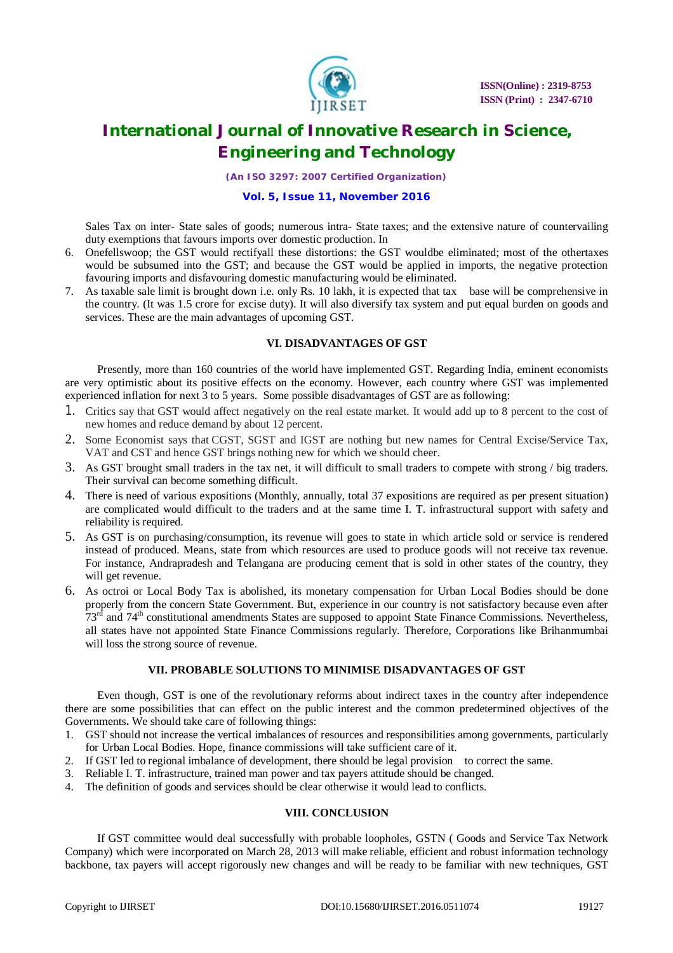

## **International Journal of Innovative Research in Science, Engineering and Technology**

*(An ISO 3297: 2007 Certified Organization)*

### **Vol. 5, Issue 11, November 2016**

Sales Tax on inter- State sales of goods; numerous intra- State taxes; and the extensive nature of countervailing duty exemptions that favours imports over domestic production. In

- 6. Onefellswoop; the GST would rectifyall these distortions: the GST wouldbe eliminated; most of the othertaxes would be subsumed into the GST; and because the GST would be applied in imports, the negative protection favouring imports and disfavouring domestic manufacturing would be eliminated.
- 7. As taxable sale limit is brought down i.e. only Rs. 10 lakh, it is expected that tax base will be comprehensive in the country. (It was 1.5 crore for excise duty). It will also diversify tax system and put equal burden on goods and services. These are the main advantages of upcoming GST.

### **VI. DISADVANTAGES OF GST**

Presently, more than 160 countries of the world have implemented GST. Regarding India, eminent economists are very optimistic about its positive effects on the economy. However, each country where GST was implemented experienced inflation for next 3 to 5 years. Some possible disadvantages of GST are as following:

- 1. Critics say that GST would affect negatively on the real estate market. It would add up to 8 percent to the cost of new homes and reduce demand by about 12 percent.
- 2. Some Economist says that CGST, SGST and IGST are nothing but new names for Central Excise/Service Tax, VAT and CST and hence GST brings nothing new for which we should cheer.
- 3. As GST brought small traders in the tax net, it will difficult to small traders to compete with strong / big traders. Their survival can become something difficult.
- 4. There is need of various expositions (Monthly, annually, total 37 expositions are required as per present situation) are complicated would difficult to the traders and at the same time I. T. infrastructural support with safety and reliability is required.
- 5. As GST is on purchasing/consumption, its revenue will goes to state in which article sold or service is rendered instead of produced. Means, state from which resources are used to produce goods will not receive tax revenue. For instance, Andrapradesh and Telangana are producing cement that is sold in other states of the country, they will get revenue.
- 6. As octroi or Local Body Tax is abolished, its monetary compensation for Urban Local Bodies should be done properly from the concern State Government. But, experience in our country is not satisfactory because even after 73<sup>rd</sup> and 74<sup>th</sup> constitutional amendments States are supposed to appoint State Finance Commissions. Nevertheless, all states have not appointed State Finance Commissions regularly. Therefore, Corporations like Brihanmumbai will loss the strong source of revenue.

### **VII. PROBABLE SOLUTIONS TO MINIMISE DISADVANTAGES OF GST**

Even though, GST is one of the revolutionary reforms about indirect taxes in the country after independence there are some possibilities that can effect on the public interest and the common predetermined objectives of the Governments**.** We should take care of following things:

- 1. GST should not increase the vertical imbalances of resources and responsibilities among governments, particularly for Urban Local Bodies. Hope, finance commissions will take sufficient care of it.
- 2. If GST led to regional imbalance of development, there should be legal provision to correct the same.
- 3. Reliable I. T. infrastructure, trained man power and tax payers attitude should be changed.
- 4. The definition of goods and services should be clear otherwise it would lead to conflicts.

### **VIII. CONCLUSION**

If GST committee would deal successfully with probable loopholes, GSTN ( Goods and Service Tax Network Company) which were incorporated on March 28, 2013 will make reliable, efficient and robust information technology backbone, tax payers will accept rigorously new changes and will be ready to be familiar with new techniques, GST